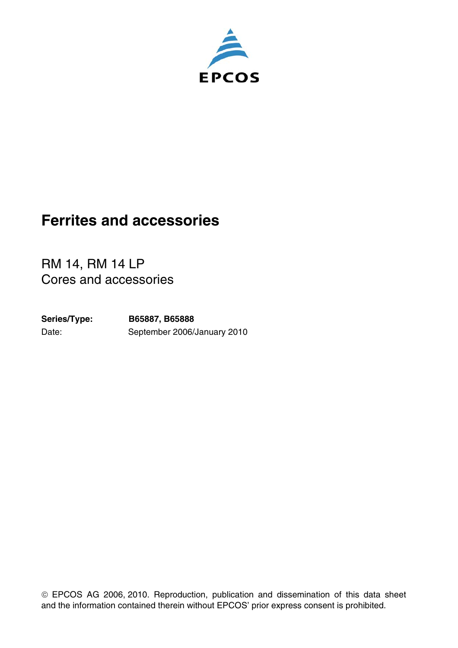

## **Ferrites and accessories**

RM 14, RM 14 LP Cores and accessories

Date: September 2006/January 2010 **Series/Type: B65887, B65888**

 EPCOS AG 2006, 2010. Reproduction, publication and dissemination of this data sheet and the information contained therein without EPCOS' prior express consent is prohibited.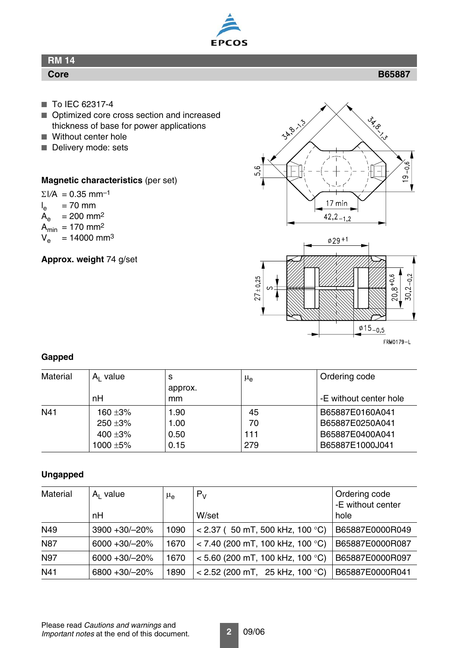

## **RM 14**

#### **Core B65887**

- To IEC 62317-4
- Optimized core cross section and increased thickness of base for power applications
- Without center hole
- Delivery mode: sets

#### **Magnetic characteristics** (per set)

 $\Sigma$ *I/A* = 0.35 mm<sup>-1</sup>  $I_{e}$  $I_e$  = 70 mm<br> $A_e$  = 200 mn  $= 200$  mm<sup>2</sup>  $A_{\text{min}} = 170 \text{ mm}^2$ <br> $V_e = 14000 \text{ mm}^2$  $= 14000$  mm<sup>3</sup>

**Approx. weight** 74 g/set



FRM0179-L

 $\frac{\phi}{15}$  - 0,5

#### **Gapped**

| Material | $A1$ value    | s       | $\mu_{\rm e}$ | Ordering code          |
|----------|---------------|---------|---------------|------------------------|
|          |               | approx. |               |                        |
|          | nH            | mm      |               | -E without center hole |
| N41      | 160 $\pm 3\%$ | 1.90    | 45            | B65887E0160A041        |
|          | 250 ±3%       | 1.00    | 70            | B65887E0250A041        |
|          | 400 ±3%       | 0.50    | 111           | B65887E0400A041        |
|          | 1000 $\pm$ 5% | 0.15    | 279           | B65887E1000J041        |

#### **Ungapped**

| <b>Material</b> | $A1$ value        | $\mu_{\rm e}$ | $P_V$                              | Ordering code<br>-E without center |
|-----------------|-------------------|---------------|------------------------------------|------------------------------------|
|                 | nH                |               | W/set                              | hole                               |
| N49             | 3900 +30/-20%     | 1090          | $<$ 2.37 (50 mT, 500 kHz, 100 °C)  | B65887E0000R049                    |
| <b>N87</b>      | $6000 + 30/ -20%$ | 1670          | $<$ 7.40 (200 mT, 100 kHz, 100 °C) | B65887E0000R087                    |
| <b>N97</b>      | $6000 + 30/ -20%$ | 1670          | $<$ 5.60 (200 mT, 100 kHz, 100 °C) | B65887E0000R097                    |
| N41             | 6800 +30/-20%     | 1890          | $<$ 2.52 (200 mT, 25 kHz, 100 °C)  | B65887E0000R041                    |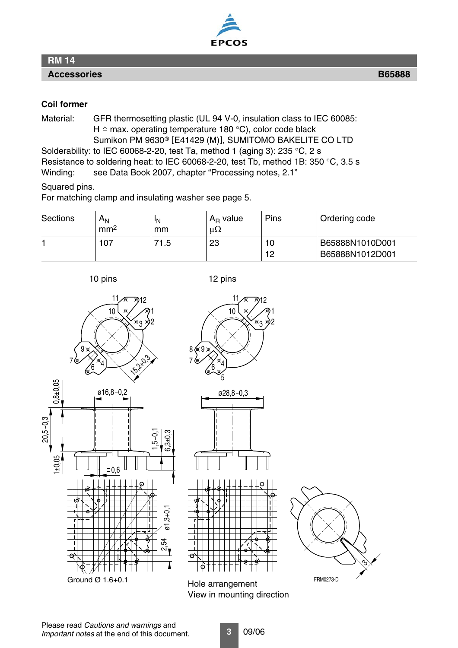

#### **RM 14**

**Accessories B65888**

#### **Coil former**

Material: GFR thermosetting plastic (UL 94 V-0, insulation class to IEC 60085: H  $\triangle$  max. operating temperature 180 °C), color code black Sumikon PM 9630® [E41429 (M)], SUMITOMO BAKELITE CO LTD Solderability: to IEC 60068-2-20, test Ta, method 1 (aging 3): 235 °C, 2 s Resistance to soldering heat: to IEC 60068-2-20, test Tb, method 1B: 350 °C, 3.5 s

Winding: see Data Book 2007, chapter "Processing notes, 2.1"

#### Squared pins.

For matching clamp and insulating washer [see page](#page-4-0) 5.

| <b>Sections</b> | $\mathsf{A}_{\mathsf{N}}$<br>mm <sup>2</sup> | 'N<br>mm | $A_{R}$ value<br>$\mu\Omega$ | Pins     | Ordering code                      |
|-----------------|----------------------------------------------|----------|------------------------------|----------|------------------------------------|
|                 | 107                                          | 71.5     | 23                           | 10<br>12 | B65888N1010D001<br>B65888N1012D001 |

10 pins 12 pins

10

11/a 12

1 3 Y2







Hole arrangement View in mounting direction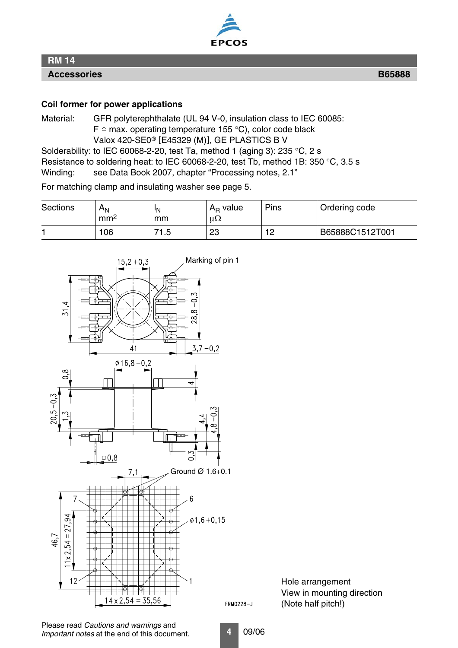

### **RM 14**

**Accessories B65888**

#### **Coil former for power applications**

Material: GFR polyterephthalate (UL 94 V-0, insulation class to IEC 60085:  $F \triangleq$  max. operating temperature 155 °C), color code black Valox 420-SE0® [E45329 (M)], GE PLASTICS B V Solderability: to IEC 60068-2-20, test Ta, method 1 (aging 3): 235 °C, 2 s

Resistance to soldering heat: to IEC 60068-2-20, test Tb, method 1B: 350 °C, 3.5 s

Winding: see Data Book 2007, chapter "Processing notes, 2.1"

For matching clamp and insulating washer [see page](#page-4-0) 5.

| <b>Sections</b> | $A_{N}$<br>mm <sup>2</sup> | 'N<br>mm  | $A_{R}$ value<br>$\mu\Omega$ | Pins      | Ordering code   |
|-----------------|----------------------------|-----------|------------------------------|-----------|-----------------|
|                 | 06                         | 71<br>1.5 | 23                           | 10<br>ے ا | B65888C1512T001 |



Hole arrangement View in mounting direction (Note half pitch!)

**4** 09/06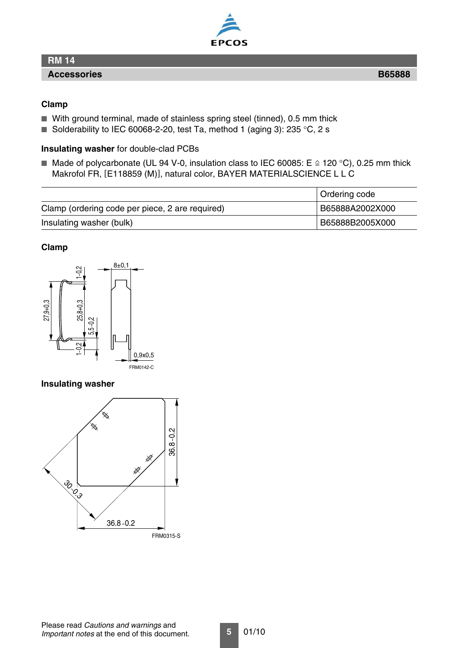# EPCOS

#### **RM 14**

#### **Accessories B65888**

#### **Clamp**

- With ground terminal, made of stainless spring steel (tinned), 0.5 mm thick
- Solderability to IEC 60068-2-20, test Ta, method 1 (aging 3): 235 °C, 2 s

#### **Insulating washer** for double-clad PCBs

■ Made of polycarbonate (UL 94 V-0, insulation class to IEC 60085: E  $\cong$  120 °C), 0.25 mm thick Makrofol FR, [E118859 (M)], natural color, BAYER MATERIALSCIENCE L L C

|                                                 | Ordering code   |
|-------------------------------------------------|-----------------|
| Clamp (ordering code per piece, 2 are required) | B65888A2002X000 |
| Insulating washer (bulk)                        | B65888B2005X000 |

#### **Clamp**



#### <span id="page-4-0"></span>**Insulating washer**

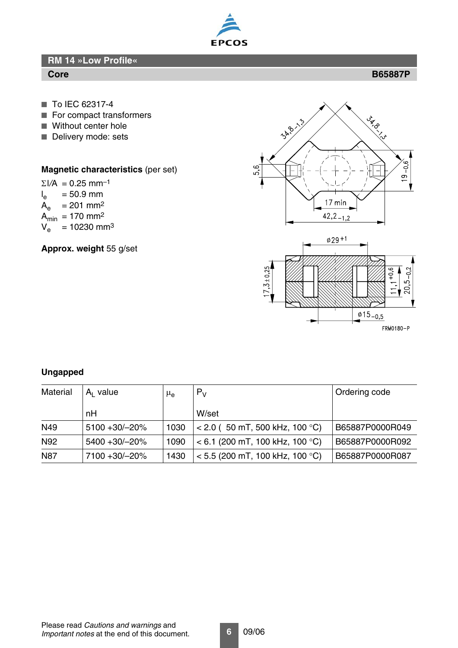

**RM 14 »Low Profile«**

#### **Core B65887P**

- To IEC 62317-4
- For compact transformers
- Without center hole
- Delivery mode: sets

#### **Magnetic characteristics** (per set)

 $\Sigma$ *I/A* = 0.25 mm<sup>-1</sup>

- $I_{\rm e}$  $= 50.9$  mm
- $A_e$  = 201 mm<sup>2</sup>
- $A_{min}$  = 170 mm<sup>2</sup>

 $V_e^{\text{max}} = 10230 \text{ mm}^3$ 

**Approx. weight** 55 g/set



FRM0180-P

#### **Ungapped**

| Material   | $A1$ value    | $\mu_{\mathsf{e}}$ | $P_V$                             | Ordering code   |
|------------|---------------|--------------------|-----------------------------------|-----------------|
|            | nН            |                    | W/set                             |                 |
| N49        | 5100 +30/-20% | 1030               | $< 2.0$ (50 mT, 500 kHz, 100 °C)  | B65887P0000R049 |
| N92        | 5400 +30/-20% | 1090               | $<$ 6.1 (200 mT, 100 kHz, 100 °C) | B65887P0000R092 |
| <b>N87</b> | 7100 +30/-20% | 1430               | $<$ 5.5 (200 mT, 100 kHz, 100 °C) | B65887P0000R087 |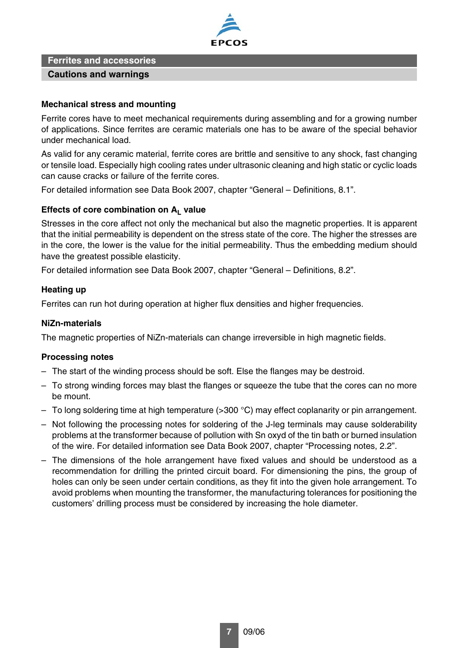

#### **Ferrites and accessories**

#### **Cautions and warnings**

#### **Mechanical stress and mounting**

Ferrite cores have to meet mechanical requirements during assembling and for a growing number of applications. Since ferrites are ceramic materials one has to be aware of the special behavior under mechanical load.

As valid for any ceramic material, ferrite cores are brittle and sensitive to any shock, fast changing or tensile load. Especially high cooling rates under ultrasonic cleaning and high static or cyclic loads can cause cracks or failure of the ferrite cores.

For detailed information see Data Book 2007, chapter "General – Definitions, 8.1".

#### Effects of core combination on A<sub>L</sub> value

Stresses in the core affect not only the mechanical but also the magnetic properties. It is apparent that the initial permeability is dependent on the stress state of the core. The higher the stresses are in the core, the lower is the value for the initial permeability. Thus the embedding medium should have the greatest possible elasticity.

For detailed information see Data Book 2007, chapter "General – Definitions, 8.2".

#### **Heating up**

Ferrites can run hot during operation at higher flux densities and higher frequencies.

#### **NiZn-materials**

The magnetic properties of NiZn-materials can change irreversible in high magnetic fields.

#### **Processing notes**

- The start of the winding process should be soft. Else the flanges may be destroid.
- To strong winding forces may blast the flanges or squeeze the tube that the cores can no more be mount.
- To long soldering time at high temperature (>300 °C) may effect coplanarity or pin arrangement.
- Not following the processing notes for soldering of the J-leg terminals may cause solderability problems at the transformer because of pollution with Sn oxyd of the tin bath or burned insulation of the wire. For detailed information see Data Book 2007, chapter "Processing notes, 2.2".
- The dimensions of the hole arrangement have fixed values and should be understood as a recommendation for drilling the printed circuit board. For dimensioning the pins, the group of holes can only be seen under certain conditions, as they fit into the given hole arrangement. To avoid problems when mounting the transformer, the manufacturing tolerances for positioning the customers' drilling process must be considered by increasing the hole diameter.